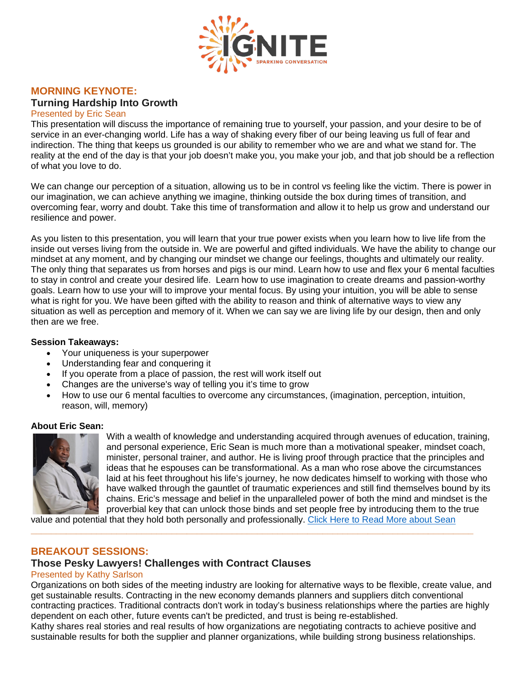

# **MORNING KEYNOTE:**

# **Turning Hardship Into Growth**

Presented by Eric Sean

This presentation will discuss the importance of remaining true to yourself, your passion, and your desire to be of service in an ever-changing world. Life has a way of shaking every fiber of our being leaving us full of fear and indirection. The thing that keeps us grounded is our ability to remember who we are and what we stand for. The reality at the end of the day is that your job doesn't make you, you make your job, and that job should be a reflection of what you love to do.

We can change our perception of a situation, allowing us to be in control vs feeling like the victim. There is power in our imagination, we can achieve anything we imagine, thinking outside the box during times of transition, and overcoming fear, worry and doubt. Take this time of transformation and allow it to help us grow and understand our resilience and power.

As you listen to this presentation, you will learn that your true power exists when you learn how to live life from the inside out verses living from the outside in. We are powerful and gifted individuals. We have the ability to change our mindset at any moment, and by changing our mindset we change our feelings, thoughts and ultimately our reality. The only thing that separates us from horses and pigs is our mind. Learn how to use and flex your 6 mental faculties to stay in control and create your desired life. Learn how to use imagination to create dreams and passion-worthy goals. Learn how to use your will to improve your mental focus. By using your intuition, you will be able to sense what is right for you. We have been gifted with the ability to reason and think of alternative ways to view any situation as well as perception and memory of it. When we can say we are living life by our design, then and only then are we free.

### **Session Takeaways:**

- Your uniqueness is your superpower
- Understanding fear and conquering it
- If you operate from a place of passion, the rest will work itself out
- Changes are the universe's way of telling you it's time to grow
- How to use our 6 mental faculties to overcome any circumstances, (imagination, perception, intuition, reason, will, memory)

#### **About Eric Sean:**



With a wealth of knowledge and understanding acquired through avenues of education, training, and personal experience, Eric Sean is much more than a motivational speaker, mindset coach, minister, personal trainer, and author. He is living proof through practice that the principles and ideas that he espouses can be transformational. As a man who rose above the circumstances laid at his feet throughout his life's journey, he now dedicates himself to working with those who have walked through the gauntlet of traumatic experiences and still find themselves bound by its chains. Eric's message and belief in the unparalleled power of both the mind and mindset is the proverbial key that can unlock those binds and set people free by introducing them to the true

value and potential that they hold both personally and professionally. Click Here to Read More about Sean

**\_\_\_\_\_\_\_\_\_\_\_\_\_\_\_\_\_\_\_\_\_\_\_\_\_\_\_\_\_\_\_\_\_\_\_\_\_\_\_\_\_\_\_\_\_\_\_\_\_\_\_\_\_\_\_\_\_\_\_\_\_\_\_\_\_\_\_\_\_\_\_\_\_\_\_\_\_\_\_\_\_\_\_\_\_\_\_\_**

### **BREAKOUT SESSIONS:**

### **Those Pesky Lawyers! Challenges with Contract Clauses**

#### Presented by Kathy Sarlson

Organizations on both sides of the meeting industry are looking for alternative ways to be flexible, create value, and get sustainable results. Contracting in the new economy demands planners and suppliers ditch conventional contracting practices. Traditional contracts don't work in today's business relationships where the parties are highly dependent on each other, future events can't be predicted, and trust is being re-established.

Kathy shares real stories and real results of how organizations are negotiating contracts to achieve positive and sustainable results for both the supplier and planner organizations, while building strong business relationships.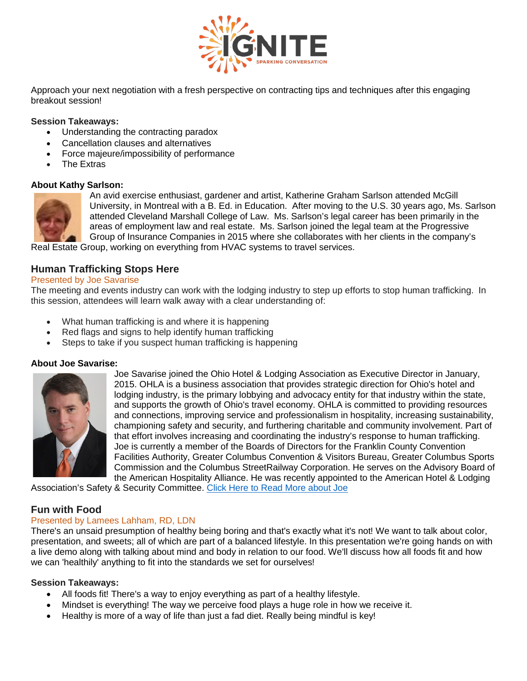

Approach your next negotiation with a fresh perspective on contracting tips and techniques after this engaging breakout session!

### **Session Takeaways:**

- Understanding the contracting paradox
- Cancellation clauses and alternatives
- Force majeure/impossibility of performance
- The Extras

#### **About Kathy Sarlson:**



An avid exercise enthusiast, gardener and artist, Katherine Graham Sarlson attended McGill University, in Montreal with a B. Ed. in Education. After moving to the U.S. 30 years ago, Ms. Sarlson attended Cleveland Marshall College of Law. Ms. Sarlson's legal career has been primarily in the areas of employment law and real estate. Ms. Sarlson joined the legal team at the Progressive Group of Insurance Companies in 2015 where she collaborates with her clients in the company's

Real Estate Group, working on everything from HVAC systems to travel services.

### **Human Trafficking Stops Here**

### Presented by Joe Savarise

The meeting and events industry can work with the lodging industry to step up efforts to stop human trafficking. In this session, attendees will learn walk away with a clear understanding of:

- What human trafficking is and where it is happening
- Red flags and signs to help identify human trafficking
- Steps to take if you suspect human trafficking is happening

#### **About Joe Savarise:**



Joe Savarise joined the Ohio Hotel & Lodging Association as Executive Director in January, 2015. OHLA is a business association that provides strategic direction for Ohio's hotel and lodging industry, is the primary lobbying and advocacy entity for that industry within the state, and supports the growth of Ohio's travel economy. OHLA is committed to providing resources and connections, improving service and professionalism in hospitality, increasing sustainability, championing safety and security, and furthering charitable and community involvement. Part of that effort involves increasing and coordinating the industry's response to human trafficking. Joe is currently a member of the Boards of Directors for the Franklin County Convention Facilities Authority, Greater Columbus Convention & Visitors Bureau, Greater Columbus Sports Commission and the Columbus StreetRailway Corporation. He serves on the Advisory Board of the American Hospitality Alliance. He was recently appointed to the American Hotel & Lodging

Association's Safety & Security Committee. Click Here to Read More about Joe

### **Fun with Food**

### Presented by Lamees Lahham, RD, LDN

There's an unsaid presumption of healthy being boring and that's exactly what it's not! We want to talk about color, presentation, and sweets; all of which are part of a balanced lifestyle. In this presentation we're going hands on with a live demo along with talking about mind and body in relation to our food. We'll discuss how all foods fit and how we can 'healthily' anything to fit into the standards we set for ourselves!

#### **Session Takeaways:**

- All foods fit! There's a way to enjoy everything as part of a healthy lifestyle.
- Mindset is everything! The way we perceive food plays a huge role in how we receive it.
- Healthy is more of a way of life than just a fad diet. Really being mindful is key!